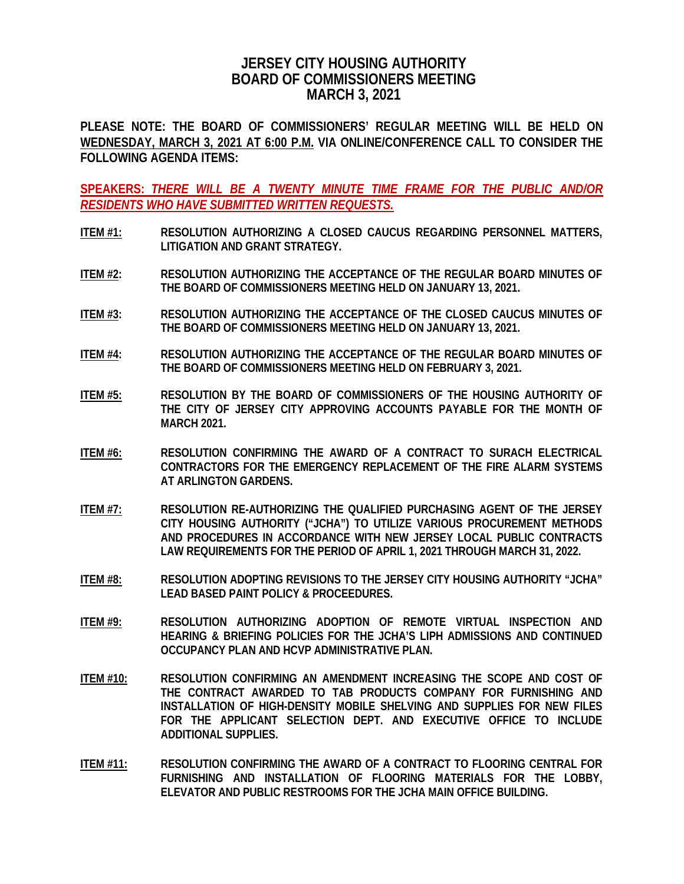## **JERSEY CITY HOUSING AUTHORITY BOARD OF COMMISSIONERS MEETING MARCH 3, 2021**

**PLEASE NOTE: THE BOARD OF COMMISSIONERS' REGULAR MEETING WILL BE HELD ON WEDNESDAY, MARCH 3, 2021 AT 6:00 P.M. VIA ONLINE/CONFERENCE CALL TO CONSIDER THE FOLLOWING AGENDA ITEMS:**

**SPEAKERS:** *THERE WILL BE A TWENTY MINUTE TIME FRAME FOR THE PUBLIC AND/OR RESIDENTS WHO HAVE SUBMITTED WRITTEN REQUESTS.*

- **ITEM #1: RESOLUTION AUTHORIZING A CLOSED CAUCUS REGARDING PERSONNEL MATTERS, LITIGATION AND GRANT STRATEGY.**
- **ITEM #2: RESOLUTION AUTHORIZING THE ACCEPTANCE OF THE REGULAR BOARD MINUTES OF THE BOARD OF COMMISSIONERS MEETING HELD ON JANUARY 13, 2021.**
- **ITEM #3: RESOLUTION AUTHORIZING THE ACCEPTANCE OF THE CLOSED CAUCUS MINUTES OF THE BOARD OF COMMISSIONERS MEETING HELD ON JANUARY 13, 2021.**
- **ITEM #4: RESOLUTION AUTHORIZING THE ACCEPTANCE OF THE REGULAR BOARD MINUTES OF THE BOARD OF COMMISSIONERS MEETING HELD ON FEBRUARY 3, 2021.**
- **ITEM #5: RESOLUTION BY THE BOARD OF COMMISSIONERS OF THE HOUSING AUTHORITY OF THE CITY OF JERSEY CITY APPROVING ACCOUNTS PAYABLE FOR THE MONTH OF MARCH 2021.**
- **ITEM #6: RESOLUTION CONFIRMING THE AWARD OF A CONTRACT TO SURACH ELECTRICAL CONTRACTORS FOR THE EMERGENCY REPLACEMENT OF THE FIRE ALARM SYSTEMS AT ARLINGTON GARDENS.**
- **ITEM #7: RESOLUTION RE-AUTHORIZING THE QUALIFIED PURCHASING AGENT OF THE JERSEY CITY HOUSING AUTHORITY ("JCHA") TO UTILIZE VARIOUS PROCUREMENT METHODS AND PROCEDURES IN ACCORDANCE WITH NEW JERSEY LOCAL PUBLIC CONTRACTS LAW REQUIREMENTS FOR THE PERIOD OF APRIL 1, 2021 THROUGH MARCH 31, 2022.**
- **ITEM #8: RESOLUTION ADOPTING REVISIONS TO THE JERSEY CITY HOUSING AUTHORITY "JCHA" LEAD BASED PAINT POLICY & PROCEEDURES.**
- **ITEM #9: RESOLUTION AUTHORIZING ADOPTION OF REMOTE VIRTUAL INSPECTION AND HEARING & BRIEFING POLICIES FOR THE JCHA'S LIPH ADMISSIONS AND CONTINUED OCCUPANCY PLAN AND HCVP ADMINISTRATIVE PLAN.**
- **ITEM #10: RESOLUTION CONFIRMING AN AMENDMENT INCREASING THE SCOPE AND COST OF THE CONTRACT AWARDED TO TAB PRODUCTS COMPANY FOR FURNISHING AND INSTALLATION OF HIGH-DENSITY MOBILE SHELVING AND SUPPLIES FOR NEW FILES FOR THE APPLICANT SELECTION DEPT. AND EXECUTIVE OFFICE TO INCLUDE ADDITIONAL SUPPLIES.**
- **ITEM #11: RESOLUTION CONFIRMING THE AWARD OF A CONTRACT TO FLOORING CENTRAL FOR FURNISHING AND INSTALLATION OF FLOORING MATERIALS FOR THE LOBBY, ELEVATOR AND PUBLIC RESTROOMS FOR THE JCHA MAIN OFFICE BUILDING.**